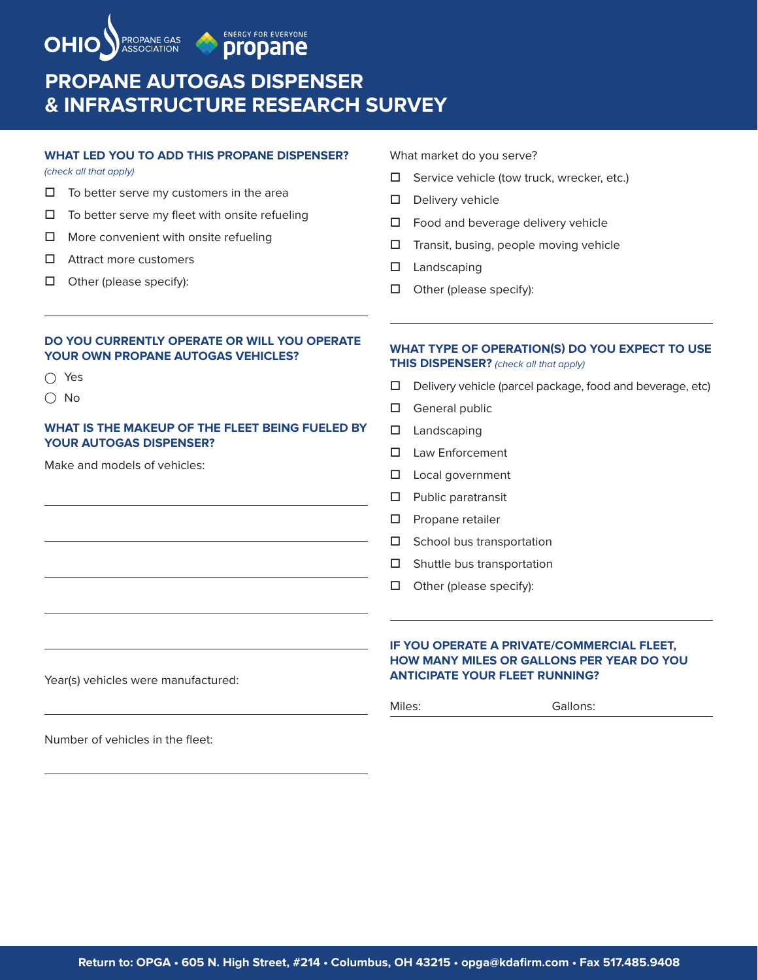

**ENERGY FOR EVERYONE** propane

# **PROPANE AUTOGAS DISPENSER & INFRASTRUCTURE RESEARCH SURVEY**

### **WHAT LED YOU TO ADD THIS PROPANE DISPENSER?**

*(check all that apply)*

- $\Box$  To better serve my customers in the area
- $\square$  To better serve my fleet with onsite refueling
- $\Box$  More convenient with onsite refueling
- $\Box$  Attract more customers
- $\Box$  Other (please specify):

#### What market do you serve?

- $\square$  Service vehicle (tow truck, wrecker, etc.)
- $\square$  Delivery vehicle
- $\Box$  Food and beverage delivery vehicle
- $\square$  Transit, busing, people moving vehicle
- $\square$  Landscaping
- $\Box$  Other (please specify):

### **DO YOU CURRENTLY OPERATE OR WILL YOU OPERATE YOUR OWN PROPANE AUTOGAS VEHICLES?**

- Yes
- No

### **WHAT IS THE MAKEUP OF THE FLEET BEING FUELED BY YOUR AUTOGAS DISPENSER?**

Make and models of vehicles:

### **WHAT TYPE OF OPERATION(S) DO YOU EXPECT TO USE THIS DISPENSER?** *(check all that apply)*

- $\Box$  Delivery vehicle (parcel package, food and beverage, etc)
- $\Box$  General public
- $\square$  Landscaping
- $\square$  Law Enforcement
- $\square$  Local government
- $\square$  Public paratransit
- $\square$  Propane retailer
- $\square$  School bus transportation
- $\square$  Shuttle bus transportation
- $\Box$  Other (please specify):

### **IF YOU OPERATE A PRIVATE/COMMERCIAL FLEET, HOW MANY MILES OR GALLONS PER YEAR DO YOU ANTICIPATE YOUR FLEET RUNNING?**

Year(s) vehicles were manufactured:

#### Miles: Gallons:

Number of vehicles in the fleet: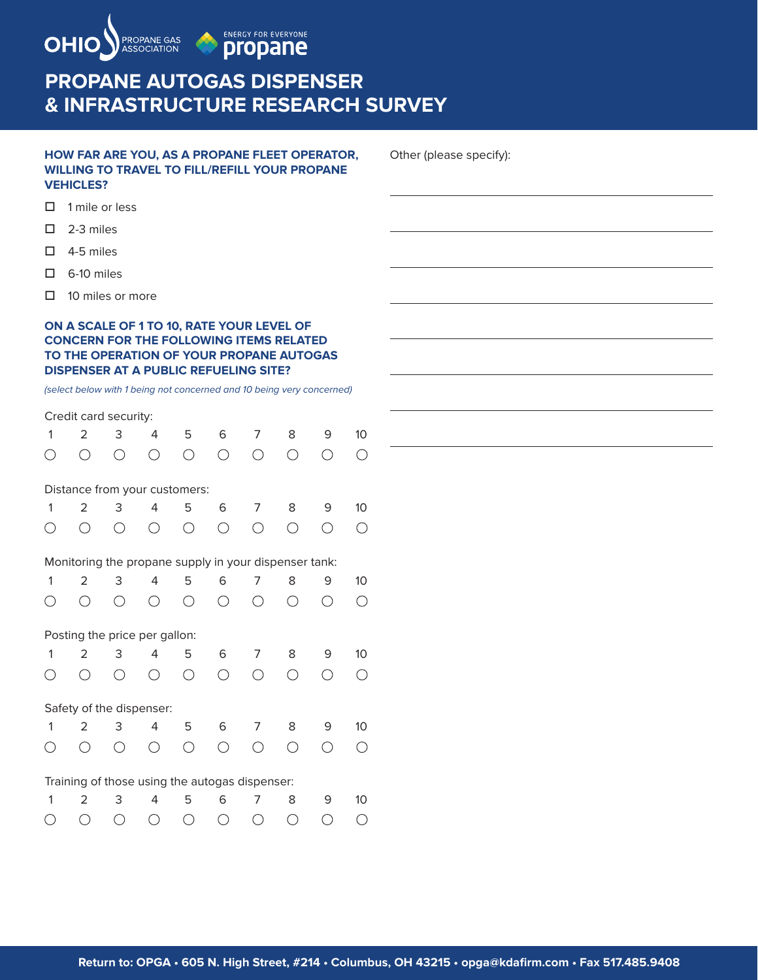

# **PROPANE AUTOGAS DISPENSER & INFRASTRUCTURE RESEARCH SURVEY**

### **HOW FAR ARE YOU, AS A PROPANE FLEET OPERATOR, WILLING TO TRAVEL TO FILL/REFILL YOUR PROPANE VEHICLES?**

Other (please specify):

- $\Box$  1 mile or less
- $\square$  2-3 miles
- $\Box$  4-5 miles
- $\Box$  6-10 miles
- $\Box$  10 miles or more

### **ON A SCALE OF 1 TO 10, RATE YOUR LEVEL OF CONCERN FOR THE FOLLOWING ITEMS RELATED TO THE OPERATION OF YOUR PROPANE AUTOGAS DISPENSER AT A PUBLIC REFUELING SITE?**

*(select below with 1 being not concerned and 10 being very concerned)*

### Credit card security:

| 1                                             | 2                                                     | 3         | 4         | 5                                           | 6                                           | 7         | 8                                           | 9          | 10              |
|-----------------------------------------------|-------------------------------------------------------|-----------|-----------|---------------------------------------------|---------------------------------------------|-----------|---------------------------------------------|------------|-----------------|
|                                               | ( )                                                   | ◯         | ◯         | $\left(\begin{array}{c} \end{array}\right)$ | ∩                                           | $( \ )$   | ∩                                           | ( )        | O               |
|                                               | Distance from your customers:                         |           |           |                                             |                                             |           |                                             |            |                 |
| 1                                             | 2                                                     | 3         | 4         | 5                                           | 6                                           | 7         | 8                                           | 9          | 10 <sup>°</sup> |
|                                               |                                                       | ◯         | ⌒         | ∩                                           | ◯                                           | ⌒         | ⌒                                           | $\bigcirc$ | ◯               |
|                                               | Monitoring the propane supply in your dispenser tank: |           |           |                                             |                                             |           |                                             |            |                 |
| 1                                             | 2                                                     | 3         | 4         | 5                                           | 6                                           | 7         | 8                                           | 9          | 10              |
|                                               |                                                       | ⌒         | ∩         | ◯                                           | ◯                                           | Ω         |                                             | ◯          | ∩               |
|                                               | Posting the price per gallon:                         |           |           |                                             |                                             |           |                                             |            |                 |
| 1                                             | 2                                                     | 3         | 4         | 5                                           | 6                                           | 7         | 8                                           | 9          | 10              |
|                                               |                                                       | Ω         | $( \ )$   | $\left(\begin{array}{c} \end{array}\right)$ | ◯                                           | ⌒         | $\left(\begin{array}{c} \end{array}\right)$ | $( \ )$    | $( \ )$         |
|                                               | Safety of the dispenser:                              |           |           |                                             |                                             |           |                                             |            |                 |
| 1                                             | 2                                                     | 3         | 4         | 5                                           | 6                                           | 7         | 8                                           | 9          | 10              |
|                                               |                                                       | ∩         | ◯         | ∩                                           | $\left(\begin{array}{c} \end{array}\right)$ |           | ∩                                           | ( )        | ∩               |
|                                               | Training of those using the autogas dispenser:        |           |           |                                             |                                             |           |                                             |            |                 |
| 1                                             | 2                                                     | 3         | 4         | 5                                           | 6                                           | 7         | 8                                           | 9          | 10              |
| $\left( \begin{array}{c} \end{array} \right)$ | ╱ ╲                                                   | $\bigcap$ | $\bigcap$ | $\cap$ $\cap$                               |                                             | $\bigcap$ | $\cap$                                      | ╱╲         | ╱               |